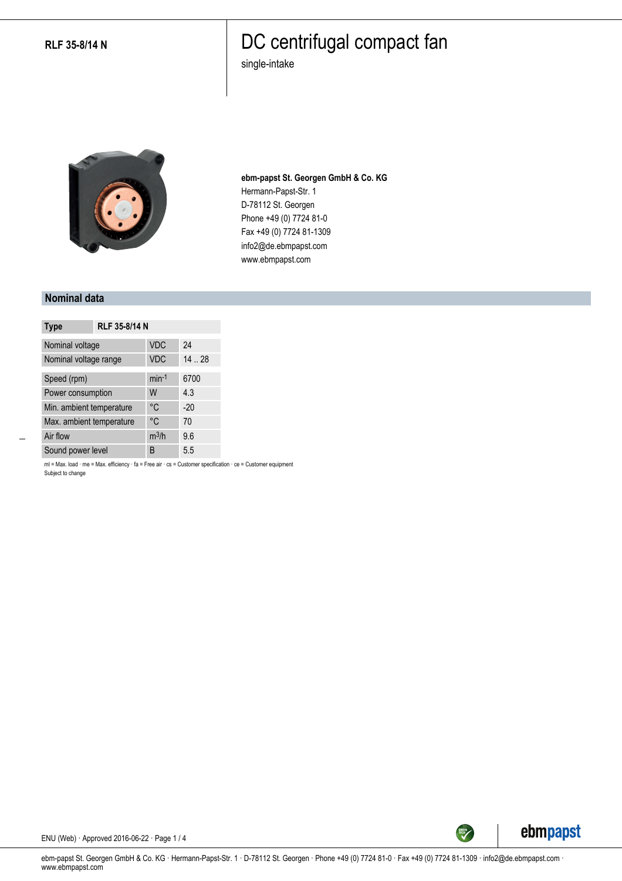### DC centrifugal compact fan

single-intake



**ebm-papst St. Georgen GmbH & Co. KG** Hermann-Papst-Str. 1 D-78112 St. Georgen Phone +49 (0) 7724 81-0 Fax +49 (0) 7724 81-1309 info2@de.ebmpapst.com www.ebmpapst.com

#### **Nominal data**

| <b>Type</b>              | RLF 35-8/14 N |            |       |
|--------------------------|---------------|------------|-------|
| Nominal voltage          |               | <b>VDC</b> | 24    |
| Nominal voltage range    |               | <b>VDC</b> | 14.28 |
| Speed (rpm)              |               | $min-1$    | 6700  |
| Power consumption        |               | W          | 4.3   |
| Min. ambient temperature |               | °C         | $-20$ |
| Max. ambient temperature |               | °C         | 70    |
| Air flow                 |               | $m^3/h$    | 9.6   |
| Sound power level        |               | B          | 5.5   |

ml = Max. load · me = Max. efficiency · fa = Free air · cs = Customer specification · ce = Customer equipment Subject to change



ENU (Web) · Approved 2016-06-22 · Page 1 / 4

ebm-papst St. Georgen GmbH & Co. KG · Hermann-Papst-Str. 1 · D-78112 St. Georgen · Phone +49 (0) 7724 81-0 · Fax +49 (0) 7724 81-1309 · info2@de.ebmpapst.com · www.ebmpapst.com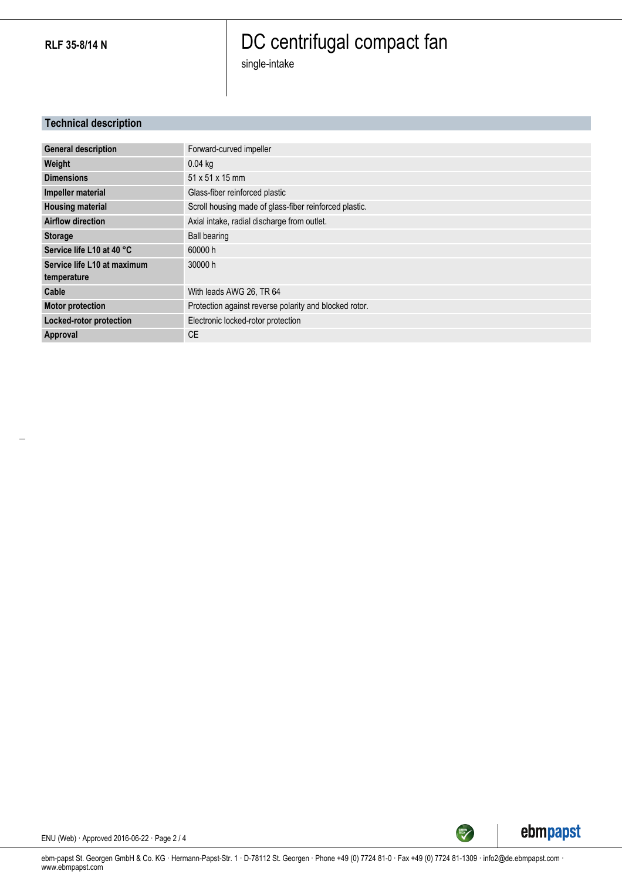# DC centrifugal compact fan

single-intake

### **Technical description**

| <b>General description</b>  | Forward-curved impeller                                |
|-----------------------------|--------------------------------------------------------|
| Weight                      | $0.04$ kg                                              |
| <b>Dimensions</b>           | 51 x 51 x 15 mm                                        |
| Impeller material           | Glass-fiber reinforced plastic                         |
| <b>Housing material</b>     | Scroll housing made of glass-fiber reinforced plastic. |
| <b>Airflow direction</b>    | Axial intake, radial discharge from outlet.            |
| <b>Storage</b>              | <b>Ball bearing</b>                                    |
| Service life L10 at 40 °C   | 60000 h                                                |
| Service life L10 at maximum | 30000 h                                                |
| temperature                 |                                                        |
| Cable                       | With leads AWG 26, TR 64                               |
| <b>Motor protection</b>     | Protection against reverse polarity and blocked rotor. |
| Locked-rotor protection     | Electronic locked-rotor protection                     |
| Approval                    | CF                                                     |



ENU (Web) · Approved 2016-06-22 · Page 2 / 4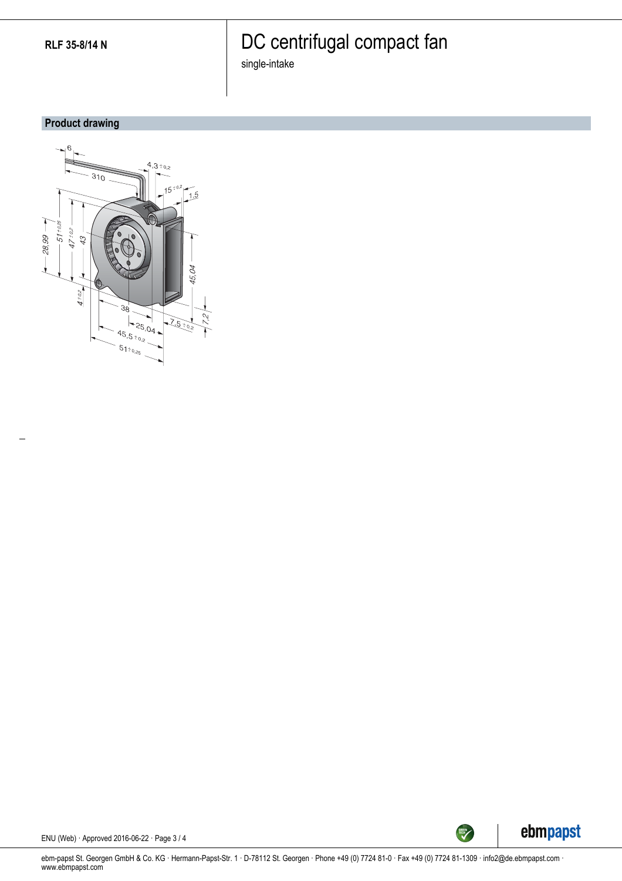# DC centrifugal compact fan

single-intake

### **Product drawing**





ENU (Web) · Approved 2016-06-22 · Page 3 / 4

ebm-papst St. Georgen GmbH & Co. KG · Hermann-Papst-Str. 1 · D-78112 St. Georgen · Phone +49 (0) 7724 81-0 · Fax +49 (0) 7724 81-1309 · info2@de.ebmpapst.com · www.ebmpapst.com